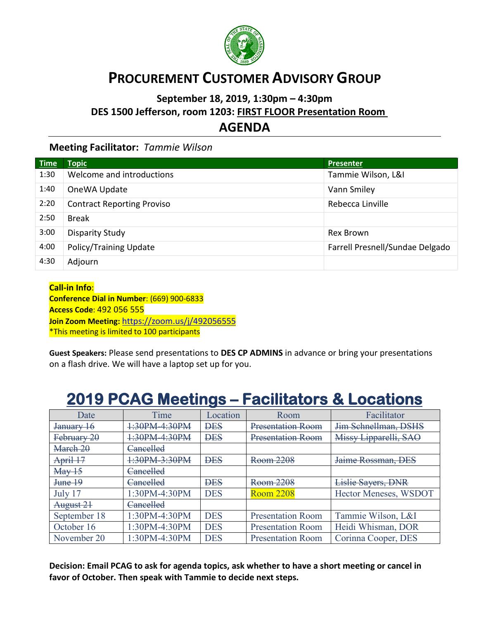

## **PROCUREMENT CUSTOMER ADVISORY GROUP**

## **September 18, 2019, 1:30pm – 4:30pm DES 1500 Jefferson, room 1203: FIRST FLOOR Presentation Room** …. **AGENDA**

## **Meeting Facilitator:** *Tammie Wilson*

| <b>Time</b> | <b>Topic</b>                      | <b>Presenter</b>                |
|-------------|-----------------------------------|---------------------------------|
| 1:30        | Welcome and introductions         | Tammie Wilson, L&I              |
| 1:40        | OneWA Update                      | Vann Smiley                     |
| 2:20        | <b>Contract Reporting Proviso</b> | Rebecca Linville                |
| 2:50        | <b>Break</b>                      |                                 |
| 3:00        | Disparity Study                   | Rex Brown                       |
| 4:00        | Policy/Training Update            | Farrell Presnell/Sundae Delgado |
| 4:30        | Adjourn                           |                                 |

**Call-in Info**: **Conference Dial in Number**: (669) 900-6833 **Access Code**: 492 056 555 **Join Zoom Meeting:** <https://zoom.us/j/492056555> \*This meeting is limited to 100 participants

**Guest Speakers:** Please send presentations to **DES CP ADMINS** in advance or bring your presentations on a flash drive. We will have a laptop set up for you.

## **2019 PCAG Meetings – Facilitators & Locations**

| Date                       | Time          | Location   | Room                     | Facilitator               |
|----------------------------|---------------|------------|--------------------------|---------------------------|
| January 16                 | 1:30PM-4:30PM | <b>DES</b> | Presentation Room        | Jim Schnellman, DSHS      |
| February 20                | 1:30PM-4:30PM | <b>DES</b> | Presentation Room        | Missy Lipparelli, SAO     |
| March 20                   | Cancelled     |            |                          |                           |
| April 17                   | 1:30PM-3:30PM | <b>DES</b> | Room 2208                | Jaime Rossman, DES        |
| $\text{Mav}$ <sup>15</sup> | Cancelled     |            |                          |                           |
| June 19                    | Cancelled     | <b>DES</b> | Room 2208                | <b>Lislie Sayers, DNR</b> |
| July 17                    | 1:30PM-4:30PM | <b>DES</b> | <b>Room 2208</b>         | Hector Meneses, WSDOT     |
| August 21                  | Cancelled     |            |                          |                           |
| September 18               | 1:30PM-4:30PM | <b>DES</b> | <b>Presentation Room</b> | Tammie Wilson, L&I        |
| October 16                 | 1:30PM-4:30PM | <b>DES</b> | <b>Presentation Room</b> | Heidi Whisman, DOR        |
| November 20                | 1:30PM-4:30PM | <b>DES</b> | <b>Presentation Room</b> | Corinna Cooper, DES       |

**Decision: Email PCAG to ask for agenda topics, ask whether to have a short meeting or cancel in favor of October. Then speak with Tammie to decide next steps.**